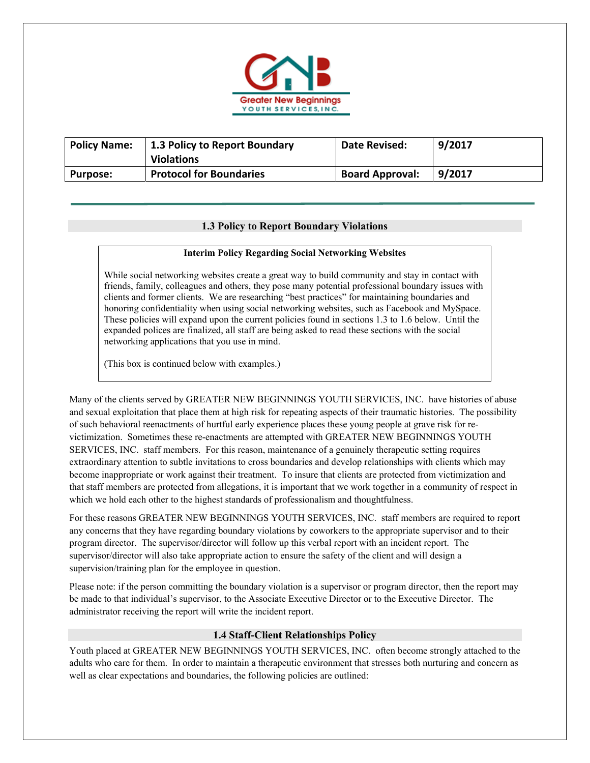

| <b>Policy Name:</b> | 1.3 Policy to Report Boundary<br><b>Violations</b> | Date Revised:          | 9/2017 |
|---------------------|----------------------------------------------------|------------------------|--------|
| <b>Purpose:</b>     | <b>Protocol for Boundaries</b>                     | <b>Board Approval:</b> | 9/2017 |

# **1.3 Policy to Report Boundary Violations**

### **Interim Policy Regarding Social Networking Websites**

While social networking websites create a great way to build community and stay in contact with friends, family, colleagues and others, they pose many potential professional boundary issues with clients and former clients. We are researching "best practices" for maintaining boundaries and honoring confidentiality when using social networking websites, such as Facebook and MySpace. These policies will expand upon the current policies found in sections 1.3 to 1.6 below. Until the expanded polices are finalized, all staff are being asked to read these sections with the social networking applications that you use in mind.

(This box is continued below with examples.)

Many of the clients served by GREATER NEW BEGINNINGS YOUTH SERVICES, INC. have histories of abuse and sexual exploitation that place them at high risk for repeating aspects of their traumatic histories. The possibility of such behavioral reenactments of hurtful early experience places these young people at grave risk for revictimization. Sometimes these re-enactments are attempted with GREATER NEW BEGINNINGS YOUTH SERVICES, INC. staff members. For this reason, maintenance of a genuinely therapeutic setting requires extraordinary attention to subtle invitations to cross boundaries and develop relationships with clients which may become inappropriate or work against their treatment. To insure that clients are protected from victimization and that staff members are protected from allegations, it is important that we work together in a community of respect in which we hold each other to the highest standards of professionalism and thoughtfulness.

For these reasons GREATER NEW BEGINNINGS YOUTH SERVICES, INC. staff members are required to report any concerns that they have regarding boundary violations by coworkers to the appropriate supervisor and to their program director. The supervisor/director will follow up this verbal report with an incident report. The supervisor/director will also take appropriate action to ensure the safety of the client and will design a supervision/training plan for the employee in question.

Please note: if the person committing the boundary violation is a supervisor or program director, then the report may be made to that individual's supervisor, to the Associate Executive Director or to the Executive Director. The administrator receiving the report will write the incident report.

# **1.4 Staff-Client Relationships Policy**

Youth placed at GREATER NEW BEGINNINGS YOUTH SERVICES, INC. often become strongly attached to the adults who care for them. In order to maintain a therapeutic environment that stresses both nurturing and concern as well as clear expectations and boundaries, the following policies are outlined: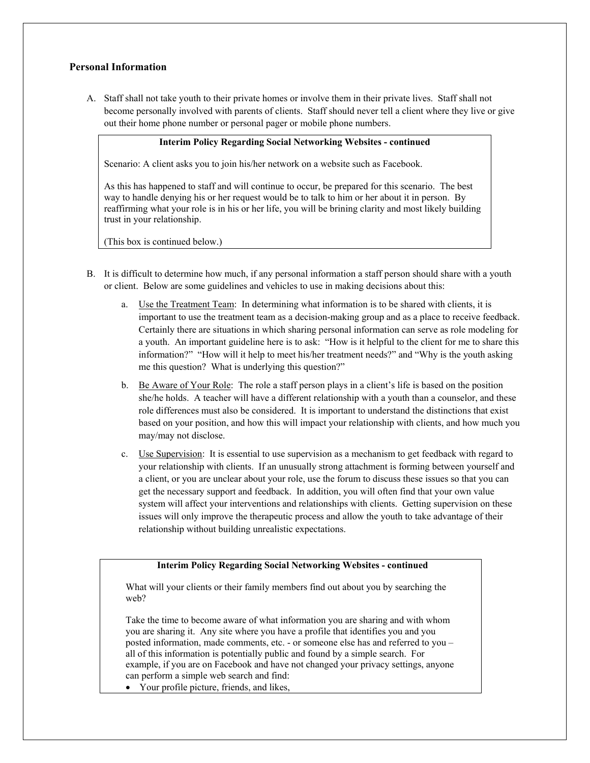# **Personal Information**

A. Staff shall not take youth to their private homes or involve them in their private lives. Staff shall not become personally involved with parents of clients. Staff should never tell a client where they live or give out their home phone number or personal pager or mobile phone numbers.

#### **Interim Policy Regarding Social Networking Websites - continued**

Scenario: A client asks you to join his/her network on a website such as Facebook.

As this has happened to staff and will continue to occur, be prepared for this scenario. The best way to handle denying his or her request would be to talk to him or her about it in person. By reaffirming what your role is in his or her life, you will be brining clarity and most likely building trust in your relationship.

(This box is continued below.)

- B. It is difficult to determine how much, if any personal information a staff person should share with a youth or client. Below are some guidelines and vehicles to use in making decisions about this:
	- a. Use the Treatment Team: In determining what information is to be shared with clients, it is important to use the treatment team as a decision-making group and as a place to receive feedback. Certainly there are situations in which sharing personal information can serve as role modeling for a youth. An important guideline here is to ask: "How is it helpful to the client for me to share this information?" "How will it help to meet his/her treatment needs?" and "Why is the youth asking me this question? What is underlying this question?"
	- b. Be Aware of Your Role: The role a staff person plays in a client's life is based on the position she/he holds. A teacher will have a different relationship with a youth than a counselor, and these role differences must also be considered. It is important to understand the distinctions that exist based on your position, and how this will impact your relationship with clients, and how much you may/may not disclose.
	- c. Use Supervision: It is essential to use supervision as a mechanism to get feedback with regard to your relationship with clients. If an unusually strong attachment is forming between yourself and a client, or you are unclear about your role, use the forum to discuss these issues so that you can get the necessary support and feedback. In addition, you will often find that your own value system will affect your interventions and relationships with clients. Getting supervision on these issues will only improve the therapeutic process and allow the youth to take advantage of their relationship without building unrealistic expectations.

### **Interim Policy Regarding Social Networking Websites - continued**

What will your clients or their family members find out about you by searching the web?

Take the time to become aware of what information you are sharing and with whom you are sharing it. Any site where you have a profile that identifies you and you posted information, made comments, etc. - or someone else has and referred to you – all of this information is potentially public and found by a simple search. For example, if you are on Facebook and have not changed your privacy settings, anyone can perform a simple web search and find:

Your profile picture, friends, and likes,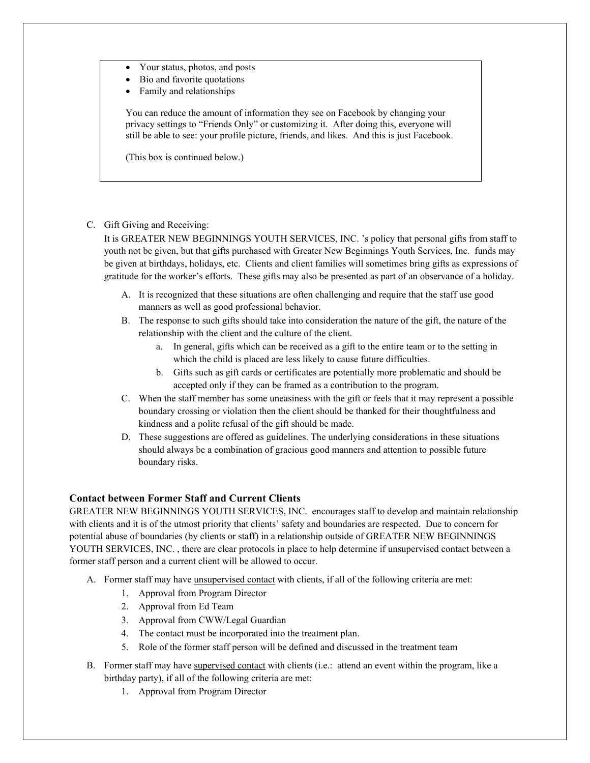- Your status, photos, and posts
- Bio and favorite quotations
- Family and relationships

You can reduce the amount of information they see on Facebook by changing your privacy settings to "Friends Only" or customizing it. After doing this, everyone will still be able to see: your profile picture, friends, and likes. And this is just Facebook.

(This box is continued below.)

### C. Gift Giving and Receiving:

It is GREATER NEW BEGINNINGS YOUTH SERVICES, INC. 's policy that personal gifts from staff to youth not be given, but that gifts purchased with Greater New Beginnings Youth Services, Inc. funds may be given at birthdays, holidays, etc. Clients and client families will sometimes bring gifts as expressions of gratitude for the worker's efforts. These gifts may also be presented as part of an observance of a holiday.

- A. It is recognized that these situations are often challenging and require that the staff use good manners as well as good professional behavior.
- B. The response to such gifts should take into consideration the nature of the gift, the nature of the relationship with the client and the culture of the client.
	- a. In general, gifts which can be received as a gift to the entire team or to the setting in which the child is placed are less likely to cause future difficulties.
	- b. Gifts such as gift cards or certificates are potentially more problematic and should be accepted only if they can be framed as a contribution to the program.
- C. When the staff member has some uneasiness with the gift or feels that it may represent a possible boundary crossing or violation then the client should be thanked for their thoughtfulness and kindness and a polite refusal of the gift should be made.
- D. These suggestions are offered as guidelines. The underlying considerations in these situations should always be a combination of gracious good manners and attention to possible future boundary risks.

# **Contact between Former Staff and Current Clients**

GREATER NEW BEGINNINGS YOUTH SERVICES, INC. encourages staff to develop and maintain relationship with clients and it is of the utmost priority that clients' safety and boundaries are respected. Due to concern for potential abuse of boundaries (by clients or staff) in a relationship outside of GREATER NEW BEGINNINGS YOUTH SERVICES, INC. , there are clear protocols in place to help determine if unsupervised contact between a former staff person and a current client will be allowed to occur.

- A. Former staff may have unsupervised contact with clients, if all of the following criteria are met:
	- 1. Approval from Program Director
	- 2. Approval from Ed Team
	- 3. Approval from CWW/Legal Guardian
	- 4. The contact must be incorporated into the treatment plan.
	- 5. Role of the former staff person will be defined and discussed in the treatment team
- B. Former staff may have supervised contact with clients (i.e.: attend an event within the program, like a birthday party), if all of the following criteria are met:
	- 1. Approval from Program Director